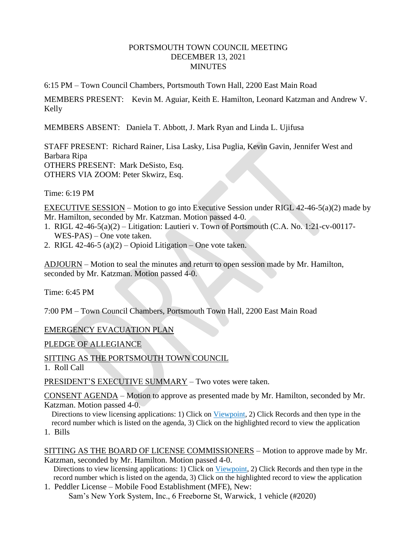## PORTSMOUTH TOWN COUNCIL MEETING DECEMBER 13, 2021 **MINUTES**

6:15 PM – Town Council Chambers, Portsmouth Town Hall, 2200 East Main Road

MEMBERS PRESENT: Kevin M. Aguiar, Keith E. Hamilton, Leonard Katzman and Andrew V. Kelly

MEMBERS ABSENT: Daniela T. Abbott, J. Mark Ryan and Linda L. Ujifusa

STAFF PRESENT: Richard Rainer, Lisa Lasky, Lisa Puglia, Kevin Gavin, Jennifer West and Barbara Ripa OTHERS PRESENT: Mark DeSisto, Esq. OTHERS VIA ZOOM: Peter Skwirz, Esq.

Time: 6:19 PM

EXECUTIVE SESSION – Motion to go into Executive Session under RIGL 42-46-5(a)(2) made by Mr. Hamilton, seconded by Mr. Katzman. Motion passed 4-0.

- 1. RIGL 42-46-5(a)(2) Litigation: Lautieri v. Town of Portsmouth (C.A. No. 1:21-cv-00117- WES-PAS) – One vote taken.
- 2. RIGL 42-46-5 (a) $(2)$  Opioid Litigation One vote taken.

ADJOURN – Motion to seal the minutes and return to open session made by Mr. Hamilton, seconded by Mr. Katzman. Motion passed 4-0.

Time: 6:45 PM

7:00 PM – Town Council Chambers, Portsmouth Town Hall, 2200 East Main Road

EMERGENCY EVACUATION PLAN

PLEDGE OF ALLEGIANCE

SITTING AS THE PORTSMOUTH TOWN COUNCIL

1. Roll Call

PRESIDENT'S EXECUTIVE SUMMARY – Two votes were taken.

CONSENT AGENDA – Motion to approve as presented made by Mr. Hamilton, seconded by Mr. Katzman. Motion passed 4-0.

 Directions to view licensing applications: 1) Click on Viewpoint, 2) Click Records and then type in the record number which is listed on the agenda, 3) Click on the highlighted record to view the application 1. Bills

SITTING AS THE BOARD OF LICENSE COMMISSIONERS – Motion to approve made by Mr. Katzman, seconded by Mr. Hamilton. Motion passed 4-0.

Directions to view licensing applications: 1) Click on Viewpoint, 2) Click Records and then type in the record number which is listed on the agenda, 3) Click on the highlighted record to view the application 1. Peddler License – Mobile Food Establishment (MFE), New:

Sam's New York System, Inc., 6 Freeborne St, Warwick, 1 vehicle (#2020)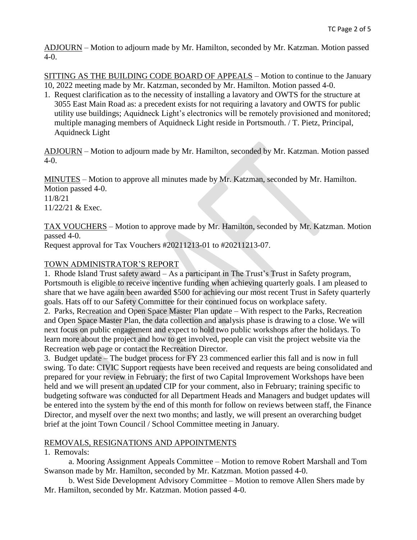ADJOURN – Motion to adjourn made by Mr. Hamilton, seconded by Mr. Katzman. Motion passed 4-0.

SITTING AS THE BUILDING CODE BOARD OF APPEALS – Motion to continue to the January 10, 2022 meeting made by Mr. Katzman, seconded by Mr. Hamilton. Motion passed 4-0.

1. Request clarification as to the necessity of installing a lavatory and OWTS for the structure at 3055 East Main Road as: a precedent exists for not requiring a lavatory and OWTS for public utility use buildings; Aquidneck Light's electronics will be remotely provisioned and monitored; multiple managing members of Aquidneck Light reside in Portsmouth. / T. Pietz, Principal, Aquidneck Light

ADJOURN – Motion to adjourn made by Mr. Hamilton, seconded by Mr. Katzman. Motion passed 4-0.

MINUTES – Motion to approve all minutes made by Mr. Katzman, seconded by Mr. Hamilton. Motion passed 4-0. 11/8/21 11/22/21 & Exec.

TAX VOUCHERS – Motion to approve made by Mr. Hamilton, seconded by Mr. Katzman. Motion passed 4-0.

Request approval for Tax Vouchers #20211213-01 to #20211213-07.

# TOWN ADMINISTRATOR'S REPORT

1. Rhode Island Trust safety award – As a participant in The Trust's Trust in Safety program, Portsmouth is eligible to receive incentive funding when achieving quarterly goals. I am pleased to share that we have again been awarded \$500 for achieving our most recent Trust in Safety quarterly goals. Hats off to our Safety Committee for their continued focus on workplace safety.

2. Parks, Recreation and Open Space Master Plan update – With respect to the Parks, Recreation and Open Space Master Plan, the data collection and analysis phase is drawing to a close. We will next focus on public engagement and expect to hold two public workshops after the holidays. To learn more about the project and how to get involved, people can visit the project website via the Recreation web page or contact the Recreation Director.

3. Budget update – The budget process for FY 23 commenced earlier this fall and is now in full swing. To date: CIVIC Support requests have been received and requests are being consolidated and prepared for your review in February; the first of two Capital Improvement Workshops have been held and we will present an updated CIP for your comment, also in February; training specific to budgeting software was conducted for all Department Heads and Managers and budget updates will be entered into the system by the end of this month for follow on reviews between staff, the Finance Director, and myself over the next two months; and lastly, we will present an overarching budget brief at the joint Town Council / School Committee meeting in January.

# REMOVALS, RESIGNATIONS AND APPOINTMENTS

# 1. Removals:

a. Mooring Assignment Appeals Committee – Motion to remove Robert Marshall and Tom Swanson made by Mr. Hamilton, seconded by Mr. Katzman. Motion passed 4-0.

b. West Side Development Advisory Committee – Motion to remove Allen Shers made by Mr. Hamilton, seconded by Mr. Katzman. Motion passed 4-0.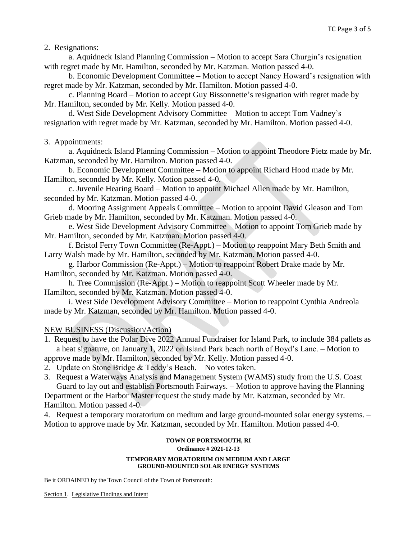2. Resignations:

a. Aquidneck Island Planning Commission – Motion to accept Sara Churgin's resignation with regret made by Mr. Hamilton, seconded by Mr. Katzman. Motion passed 4-0.

b. Economic Development Committee – Motion to accept Nancy Howard's resignation with regret made by Mr. Katzman, seconded by Mr. Hamilton. Motion passed 4-0.

c. Planning Board – Motion to accept Guy Bissonnette's resignation with regret made by Mr. Hamilton, seconded by Mr. Kelly. Motion passed 4-0.

d. West Side Development Advisory Committee – Motion to accept Tom Vadney's resignation with regret made by Mr. Katzman, seconded by Mr. Hamilton. Motion passed 4-0.

## 3. Appointments:

a. Aquidneck Island Planning Commission – Motion to appoint Theodore Pietz made by Mr. Katzman, seconded by Mr. Hamilton. Motion passed 4-0.

b. Economic Development Committee – Motion to appoint Richard Hood made by Mr. Hamilton, seconded by Mr. Kelly. Motion passed 4-0.

c. Juvenile Hearing Board – Motion to appoint Michael Allen made by Mr. Hamilton, seconded by Mr. Katzman. Motion passed 4-0.

d. Mooring Assignment Appeals Committee – Motion to appoint David Gleason and Tom Grieb made by Mr. Hamilton, seconded by Mr. Katzman. Motion passed 4-0.

e. West Side Development Advisory Committee – Motion to appoint Tom Grieb made by Mr. Hamilton, seconded by Mr. Katzman. Motion passed 4-0.

f. Bristol Ferry Town Committee (Re-Appt.) – Motion to reappoint Mary Beth Smith and Larry Walsh made by Mr. Hamilton, seconded by Mr. Katzman. Motion passed 4-0.

g. Harbor Commission (Re-Appt.) – Motion to reappoint Robert Drake made by Mr. Hamilton, seconded by Mr. Katzman. Motion passed 4-0.

h. Tree Commission (Re-Appt.) – Motion to reappoint Scott Wheeler made by Mr. Hamilton, seconded by Mr. Katzman. Motion passed 4-0.

i. West Side Development Advisory Committee – Motion to reappoint Cynthia Andreola made by Mr. Katzman, seconded by Mr. Hamilton. Motion passed 4-0.

## NEW BUSINESS (Discussion/Action)

1. Request to have the Polar Dive 2022 Annual Fundraiser for Island Park, to include 384 pallets as a heat signature, on January 1, 2022 on Island Park beach north of Boyd's Lane. – Motion to

approve made by Mr. Hamilton, seconded by Mr. Kelly. Motion passed 4-0.

- 2. Update on Stone Bridge  $&$  Teddy's Beach. No votes taken.
- 3. Request a Waterways Analysis and Management System (WAMS) study from the U.S. Coast Guard to lay out and establish Portsmouth Fairways. – Motion to approve having the Planning

Department or the Harbor Master request the study made by Mr. Katzman, seconded by Mr. Hamilton. Motion passed 4-0.

4. Request a temporary moratorium on medium and large ground-mounted solar energy systems. – Motion to approve made by Mr. Katzman, seconded by Mr. Hamilton. Motion passed 4-0.

### **TOWN OF PORTSMOUTH, RI Ordinance # 2021-12-13**

#### **TEMPORARY MORATORIUM ON MEDIUM AND LARGE GROUND-MOUNTED SOLAR ENERGY SYSTEMS**

Be it ORDAINED by the Town Council of the Town of Portsmouth:

Section 1. Legislative Findings and Intent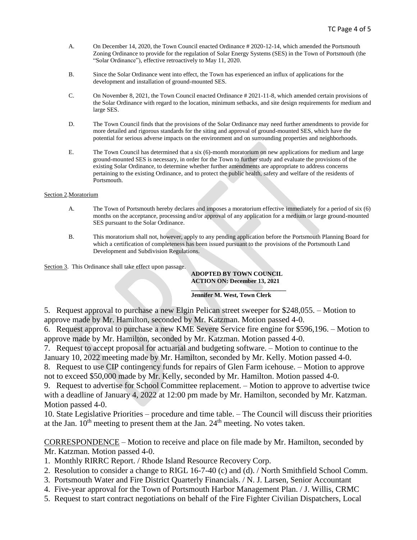- A. On December 14, 2020, the Town Council enacted Ordinance # 2020-12-14, which amended the Portsmouth Zoning Ordinance to provide for the regulation of Solar Energy Systems (SES) in the Town of Portsmouth (the "Solar Ordinance"), effective retroactively to May 11, 2020.
- B. Since the Solar Ordinance went into effect, the Town has experienced an influx of applications for the development and installation of ground-mounted SES.
- C. On November 8, 2021, the Town Council enacted Ordinance # 2021-11-8, which amended certain provisions of the Solar Ordinance with regard to the location, minimum setbacks, and site design requirements for medium and large SES.
- D. The Town Council finds that the provisions of the Solar Ordinance may need further amendments to provide for more detailed and rigorous standards for the siting and approval of ground-mounted SES, which have the potential for serious adverse impacts on the environment and on surrounding properties and neighborhoods.
- E. The Town Council has determined that a six (6)-month moratorium on new applications for medium and large ground-mounted SES is necessary, in order for the Town to further study and evaluate the provisions of the existing Solar Ordinance, to determine whether further amendments are appropriate to address concerns pertaining to the existing Ordinance, and to protect the public health, safety and welfare of the residents of Portsmouth.

#### Section 2.Moratorium

- A. The Town of Portsmouth hereby declares and imposes a moratorium effective immediately for a period of six (6) months on the acceptance, processing and/or approval of any application for a medium or large ground-mounted SES pursuant to the Solar Ordinance.
- B. This moratorium shall not, however, apply to any pending application before the Portsmouth Planning Board for which a certification of completeness has been issued pursuant to the provisions of the Portsmouth Land Development and Subdivision Regulations.

Section 3. This Ordinance shall take effect upon passage.

**ADOPTED BY TOWN COUNCIL ACTION ON: December 13, 2021**

#### **\_\_\_\_\_\_\_\_\_\_\_\_\_\_\_\_\_\_\_\_\_\_\_\_\_\_\_\_\_\_\_ Jennifer M. West, Town Clerk**

5. Request approval to purchase a new Elgin Pelican street sweeper for \$248,055. – Motion to approve made by Mr. Hamilton, seconded by Mr. Katzman. Motion passed 4-0.

6. Request approval to purchase a new KME Severe Service fire engine for \$596,196. – Motion to approve made by Mr. Hamilton, seconded by Mr. Katzman. Motion passed 4-0.

7. Request to accept proposal for actuarial and budgeting software. – Motion to continue to the January 10, 2022 meeting made by Mr. Hamilton, seconded by Mr. Kelly. Motion passed 4-0.

8. Request to use CIP contingency funds for repairs of Glen Farm icehouse. – Motion to approve not to exceed \$50,000 made by Mr. Kelly, seconded by Mr. Hamilton. Motion passed 4-0.

9. Request to advertise for School Committee replacement. – Motion to approve to advertise twice with a deadline of January 4, 2022 at 12:00 pm made by Mr. Hamilton, seconded by Mr. Katzman. Motion passed 4-0.

10. State Legislative Priorities – procedure and time table. – The Council will discuss their priorities at the Jan.  $10^{th}$  meeting to present them at the Jan.  $24^{th}$  meeting. No votes taken.

CORRESPONDENCE – Motion to receive and place on file made by Mr. Hamilton, seconded by Mr. Katzman. Motion passed 4-0.

- 1. Monthly RIRRC Report. / Rhode Island Resource Recovery Corp.
- 2. Resolution to consider a change to RIGL 16-7-40 (c) and (d). / North Smithfield School Comm.
- 3. Portsmouth Water and Fire District Quarterly Financials. / N. J. Larsen, Senior Accountant
- 4. Five-year approval for the Town of Portsmouth Harbor Management Plan. / J. Willis, CRMC
- 5. Request to start contract negotiations on behalf of the Fire Fighter Civilian Dispatchers, Local